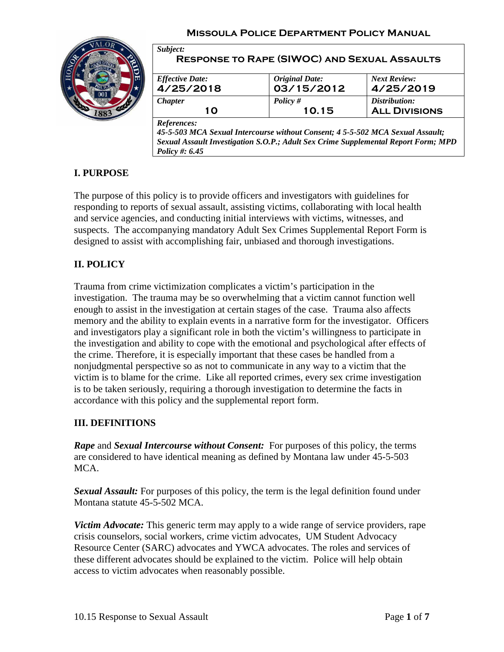

| <b>Effective Date:</b> |                              | <b>Next Review:</b>  |
|------------------------|------------------------------|----------------------|
| 4/25/2018              | Original Date:<br>03/15/2012 | 4/25/2019            |
| <i>Chapter</i>         | Policy $#$                   | Distribution:        |
| 1 O                    | 10.15                        | <b>ALL DIVISIONS</b> |

*Sexual Assault Investigation S.O.P.; Adult Sex Crime Supplemental Report Form; MPD Policy #: 6.45*

# **I. PURPOSE**

The purpose of this policy is to provide officers and investigators with guidelines for responding to reports of sexual assault, assisting victims, collaborating with local health and service agencies, and conducting initial interviews with victims, witnesses, and suspects. The accompanying mandatory Adult Sex Crimes Supplemental Report Form is designed to assist with accomplishing fair, unbiased and thorough investigations.

## **II. POLICY**

Trauma from crime victimization complicates a victim's participation in the investigation. The trauma may be so overwhelming that a victim cannot function well enough to assist in the investigation at certain stages of the case. Trauma also affects memory and the ability to explain events in a narrative form for the investigator. Officers and investigators play a significant role in both the victim's willingness to participate in the investigation and ability to cope with the emotional and psychological after effects of the crime. Therefore, it is especially important that these cases be handled from a nonjudgmental perspective so as not to communicate in any way to a victim that the victim is to blame for the crime. Like all reported crimes, every sex crime investigation is to be taken seriously, requiring a thorough investigation to determine the facts in accordance with this policy and the supplemental report form.

### **III. DEFINITIONS**

*Rape* and *Sexual Intercourse without Consent:* For purposes of this policy, the terms are considered to have identical meaning as defined by Montana law under 45-5-503 MCA.

*Sexual Assault:* For purposes of this policy, the term is the legal definition found under Montana statute 45-5-502 MCA.

*Victim Advocate:* This generic term may apply to a wide range of service providers, rape crisis counselors, social workers, crime victim advocates, UM Student Advocacy Resource Center (SARC) advocates and YWCA advocates. The roles and services of these different advocates should be explained to the victim. Police will help obtain access to victim advocates when reasonably possible.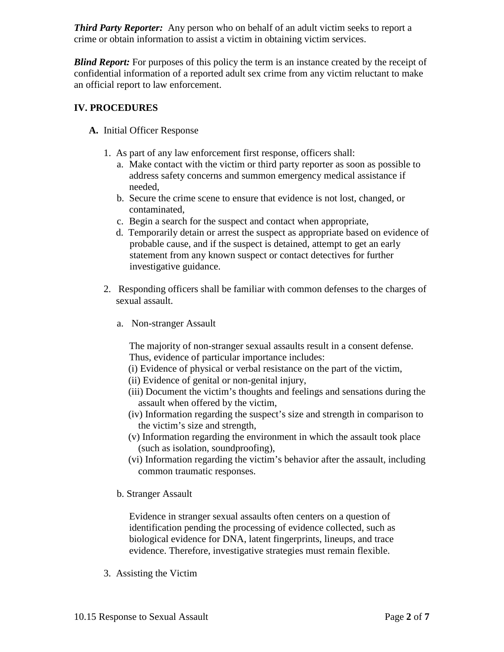*Third Party Reporter:* Any person who on behalf of an adult victim seeks to report a crime or obtain information to assist a victim in obtaining victim services.

*Blind Report:* For purposes of this policy the term is an instance created by the receipt of confidential information of a reported adult sex crime from any victim reluctant to make an official report to law enforcement.

### **IV. PROCEDURES**

#### **A.** Initial Officer Response

- 1. As part of any law enforcement first response, officers shall:
	- a. Make contact with the victim or third party reporter as soon as possible to address safety concerns and summon emergency medical assistance if needed,
	- b. Secure the crime scene to ensure that evidence is not lost, changed, or contaminated,
	- c. Begin a search for the suspect and contact when appropriate,
	- d. Temporarily detain or arrest the suspect as appropriate based on evidence of probable cause, and if the suspect is detained, attempt to get an early statement from any known suspect or contact detectives for further investigative guidance.
- 2. Responding officers shall be familiar with common defenses to the charges of sexual assault.
	- a. Non-stranger Assault

The majority of non-stranger sexual assaults result in a consent defense. Thus, evidence of particular importance includes:

- (i) Evidence of physical or verbal resistance on the part of the victim,
- (ii) Evidence of genital or non-genital injury,
- (iii) Document the victim's thoughts and feelings and sensations during the assault when offered by the victim,
- (iv) Information regarding the suspect's size and strength in comparison to the victim's size and strength,
- (v) Information regarding the environment in which the assault took place (such as isolation, soundproofing),
- (vi) Information regarding the victim's behavior after the assault, including common traumatic responses.
- b. Stranger Assault

Evidence in stranger sexual assaults often centers on a question of identification pending the processing of evidence collected, such as biological evidence for DNA, latent fingerprints, lineups, and trace evidence. Therefore, investigative strategies must remain flexible.

3. Assisting the Victim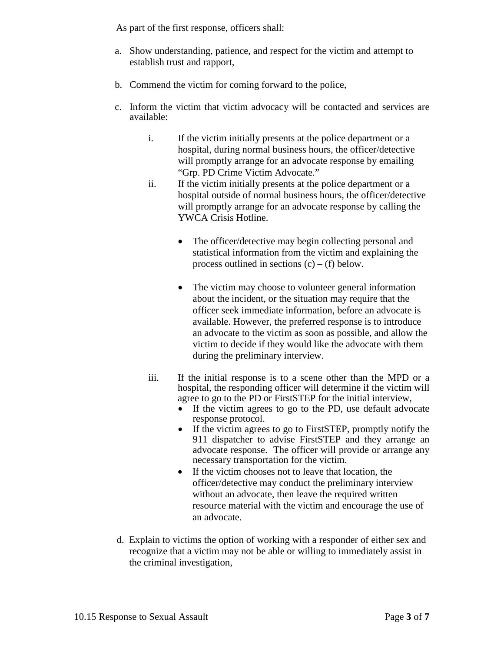As part of the first response, officers shall:

- a. Show understanding, patience, and respect for the victim and attempt to establish trust and rapport,
- b. Commend the victim for coming forward to the police,
- c. Inform the victim that victim advocacy will be contacted and services are available:
	- i. If the victim initially presents at the police department or a hospital, during normal business hours, the officer/detective will promptly arrange for an advocate response by emailing "Grp. PD Crime Victim Advocate."
	- ii. If the victim initially presents at the police department or a hospital outside of normal business hours, the officer/detective will promptly arrange for an advocate response by calling the YWCA Crisis Hotline.
		- The officer/detective may begin collecting personal and statistical information from the victim and explaining the process outlined in sections  $(c) - (f)$  below.
		- The victim may choose to volunteer general information about the incident, or the situation may require that the officer seek immediate information, before an advocate is available. However, the preferred response is to introduce an advocate to the victim as soon as possible, and allow the victim to decide if they would like the advocate with them during the preliminary interview.
	- iii. If the initial response is to a scene other than the MPD or a hospital, the responding officer will determine if the victim will agree to go to the PD or FirstSTEP for the initial interview,
		- If the victim agrees to go to the PD, use default advocate response protocol.
		- If the victim agrees to go to First STEP, promptly notify the 911 dispatcher to advise FirstSTEP and they arrange an advocate response. The officer will provide or arrange any necessary transportation for the victim.
		- If the victim chooses not to leave that location, the officer/detective may conduct the preliminary interview without an advocate, then leave the required written resource material with the victim and encourage the use of an advocate.
- d. Explain to victims the option of working with a responder of either sex and recognize that a victim may not be able or willing to immediately assist in the criminal investigation,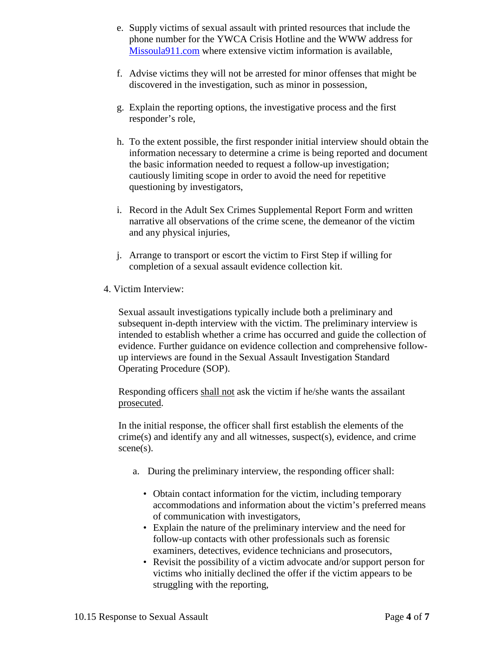- e. Supply victims of sexual assault with printed resources that include the phone number for the YWCA Crisis Hotline and the WWW address for [Missoula911.com](http://www.missoula911.com/) where extensive victim information is available,
- f. Advise victims they will not be arrested for minor offenses that might be discovered in the investigation, such as minor in possession,
- g. Explain the reporting options, the investigative process and the first responder's role,
- h. To the extent possible, the first responder initial interview should obtain the information necessary to determine a crime is being reported and document the basic information needed to request a follow-up investigation; cautiously limiting scope in order to avoid the need for repetitive questioning by investigators,
- i. Record in the Adult Sex Crimes Supplemental Report Form and written narrative all observations of the crime scene, the demeanor of the victim and any physical injuries,
- j. Arrange to transport or escort the victim to First Step if willing for completion of a sexual assault evidence collection kit.
- 4. Victim Interview:

Sexual assault investigations typically include both a preliminary and subsequent in-depth interview with the victim. The preliminary interview is intended to establish whether a crime has occurred and guide the collection of evidence. Further guidance on evidence collection and comprehensive followup interviews are found in the Sexual Assault Investigation Standard Operating Procedure (SOP).

Responding officers shall not ask the victim if he/she wants the assailant prosecuted.

In the initial response, the officer shall first establish the elements of the crime(s) and identify any and all witnesses, suspect(s), evidence, and crime scene(s).

- a. During the preliminary interview, the responding officer shall:
	- Obtain contact information for the victim, including temporary accommodations and information about the victim's preferred means of communication with investigators,
	- Explain the nature of the preliminary interview and the need for follow-up contacts with other professionals such as forensic examiners, detectives, evidence technicians and prosecutors,
	- Revisit the possibility of a victim advocate and/or support person for victims who initially declined the offer if the victim appears to be struggling with the reporting,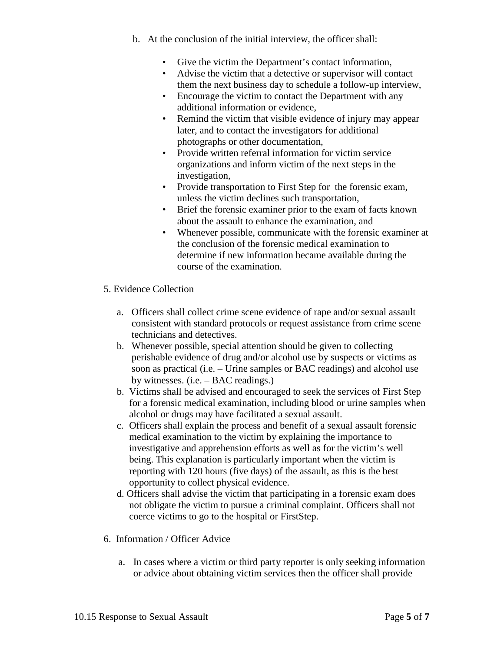- b. At the conclusion of the initial interview, the officer shall:
	- Give the victim the Department's contact information,
	- Advise the victim that a detective or supervisor will contact them the next business day to schedule a follow-up interview,
	- Encourage the victim to contact the Department with any additional information or evidence,
	- Remind the victim that visible evidence of injury may appear later, and to contact the investigators for additional photographs or other documentation,
	- Provide written referral information for victim service organizations and inform victim of the next steps in the investigation,
	- Provide transportation to First Step for the forensic exam, unless the victim declines such transportation,
	- Brief the forensic examiner prior to the exam of facts known about the assault to enhance the examination, and
	- Whenever possible, communicate with the forensic examiner at the conclusion of the forensic medical examination to determine if new information became available during the course of the examination.

### 5. Evidence Collection

- a. Officers shall collect crime scene evidence of rape and/or sexual assault consistent with standard protocols or request assistance from crime scene technicians and detectives.
- b. Whenever possible, special attention should be given to collecting perishable evidence of drug and/or alcohol use by suspects or victims as soon as practical (i.e. – Urine samples or BAC readings) and alcohol use by witnesses. (i.e. – BAC readings.)
- b. Victims shall be advised and encouraged to seek the services of First Step for a forensic medical examination, including blood or urine samples when alcohol or drugs may have facilitated a sexual assault.
- c. Officers shall explain the process and benefit of a sexual assault forensic medical examination to the victim by explaining the importance to investigative and apprehension efforts as well as for the victim's well being. This explanation is particularly important when the victim is reporting with 120 hours (five days) of the assault, as this is the best opportunity to collect physical evidence.
- d. Officers shall advise the victim that participating in a forensic exam does not obligate the victim to pursue a criminal complaint. Officers shall not coerce victims to go to the hospital or FirstStep.
- 6. Information / Officer Advice
	- a. In cases where a victim or third party reporter is only seeking information or advice about obtaining victim services then the officer shall provide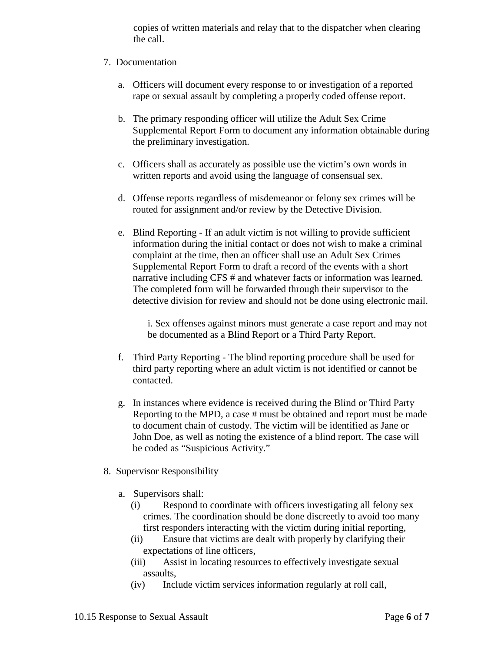copies of written materials and relay that to the dispatcher when clearing the call.

#### 7. Documentation

- a. Officers will document every response to or investigation of a reported rape or sexual assault by completing a properly coded offense report.
- b. The primary responding officer will utilize the Adult Sex Crime Supplemental Report Form to document any information obtainable during the preliminary investigation.
- c. Officers shall as accurately as possible use the victim's own words in written reports and avoid using the language of consensual sex.
- d. Offense reports regardless of misdemeanor or felony sex crimes will be routed for assignment and/or review by the Detective Division.
- e. Blind Reporting If an adult victim is not willing to provide sufficient information during the initial contact or does not wish to make a criminal complaint at the time, then an officer shall use an Adult Sex Crimes Supplemental Report Form to draft a record of the events with a short narrative including CFS # and whatever facts or information was learned. The completed form will be forwarded through their supervisor to the detective division for review and should not be done using electronic mail.

i. Sex offenses against minors must generate a case report and may not be documented as a Blind Report or a Third Party Report.

- f. Third Party Reporting The blind reporting procedure shall be used for third party reporting where an adult victim is not identified or cannot be contacted.
- g. In instances where evidence is received during the Blind or Third Party Reporting to the MPD, a case # must be obtained and report must be made to document chain of custody. The victim will be identified as Jane or John Doe, as well as noting the existence of a blind report. The case will be coded as "Suspicious Activity."
- 8. Supervisor Responsibility
	- a. Supervisors shall:
		- (i) Respond to coordinate with officers investigating all felony sex crimes. The coordination should be done discreetly to avoid too many first responders interacting with the victim during initial reporting,
		- (ii) Ensure that victims are dealt with properly by clarifying their expectations of line officers,
		- (iii) Assist in locating resources to effectively investigate sexual assaults,
		- (iv) Include victim services information regularly at roll call,